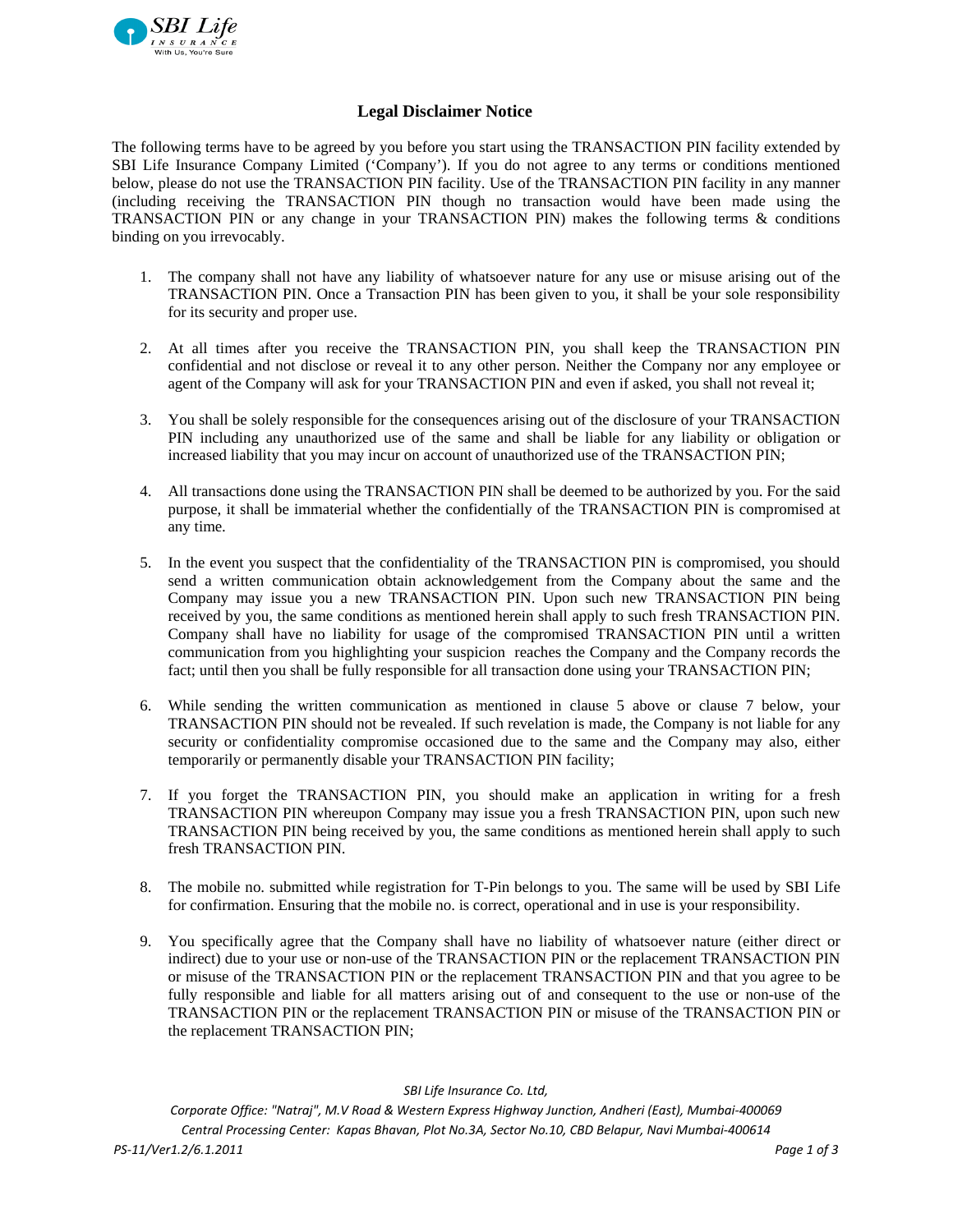

## **Legal Disclaimer Notice**

The following terms have to be agreed by you before you start using the TRANSACTION PIN facility extended by SBI Life Insurance Company Limited ('Company'). If you do not agree to any terms or conditions mentioned below, please do not use the TRANSACTION PIN facility. Use of the TRANSACTION PIN facility in any manner (including receiving the TRANSACTION PIN though no transaction would have been made using the TRANSACTION PIN or any change in your TRANSACTION PIN) makes the following terms & conditions binding on you irrevocably.

- 1. The company shall not have any liability of whatsoever nature for any use or misuse arising out of the TRANSACTION PIN. Once a Transaction PIN has been given to you, it shall be your sole responsibility for its security and proper use.
- 2. At all times after you receive the TRANSACTION PIN, you shall keep the TRANSACTION PIN confidential and not disclose or reveal it to any other person. Neither the Company nor any employee or agent of the Company will ask for your TRANSACTION PIN and even if asked, you shall not reveal it;
- 3. You shall be solely responsible for the consequences arising out of the disclosure of your TRANSACTION PIN including any unauthorized use of the same and shall be liable for any liability or obligation or increased liability that you may incur on account of unauthorized use of the TRANSACTION PIN;
- 4. All transactions done using the TRANSACTION PIN shall be deemed to be authorized by you. For the said purpose, it shall be immaterial whether the confidentially of the TRANSACTION PIN is compromised at any time.
- 5. In the event you suspect that the confidentiality of the TRANSACTION PIN is compromised, you should send a written communication obtain acknowledgement from the Company about the same and the Company may issue you a new TRANSACTION PIN. Upon such new TRANSACTION PIN being received by you, the same conditions as mentioned herein shall apply to such fresh TRANSACTION PIN. Company shall have no liability for usage of the compromised TRANSACTION PIN until a written communication from you highlighting your suspicion reaches the Company and the Company records the fact; until then you shall be fully responsible for all transaction done using your TRANSACTION PIN;
- 6. While sending the written communication as mentioned in clause 5 above or clause 7 below, your TRANSACTION PIN should not be revealed. If such revelation is made, the Company is not liable for any security or confidentiality compromise occasioned due to the same and the Company may also, either temporarily or permanently disable your TRANSACTION PIN facility;
- 7. If you forget the TRANSACTION PIN, you should make an application in writing for a fresh TRANSACTION PIN whereupon Company may issue you a fresh TRANSACTION PIN, upon such new TRANSACTION PIN being received by you, the same conditions as mentioned herein shall apply to such fresh TRANSACTION PIN.
- 8. The mobile no. submitted while registration for T-Pin belongs to you. The same will be used by SBI Life for confirmation. Ensuring that the mobile no. is correct, operational and in use is your responsibility.
- 9. You specifically agree that the Company shall have no liability of whatsoever nature (either direct or indirect) due to your use or non-use of the TRANSACTION PIN or the replacement TRANSACTION PIN or misuse of the TRANSACTION PIN or the replacement TRANSACTION PIN and that you agree to be fully responsible and liable for all matters arising out of and consequent to the use or non-use of the TRANSACTION PIN or the replacement TRANSACTION PIN or misuse of the TRANSACTION PIN or the replacement TRANSACTION PIN;

*SBI Life Insurance Co. Ltd,*

*Corporate Office: "Natraj", M.V Road & Western Express Highway Junction, Andheri (East), Mumbai‐400069 Central Processing Center: Kapas Bhavan, Plot No.3A, Sector No.10, CBD Belapur, Navi Mumbai‐400614* PS-11/Ver1.2/6.1.2011 Page 1 of 3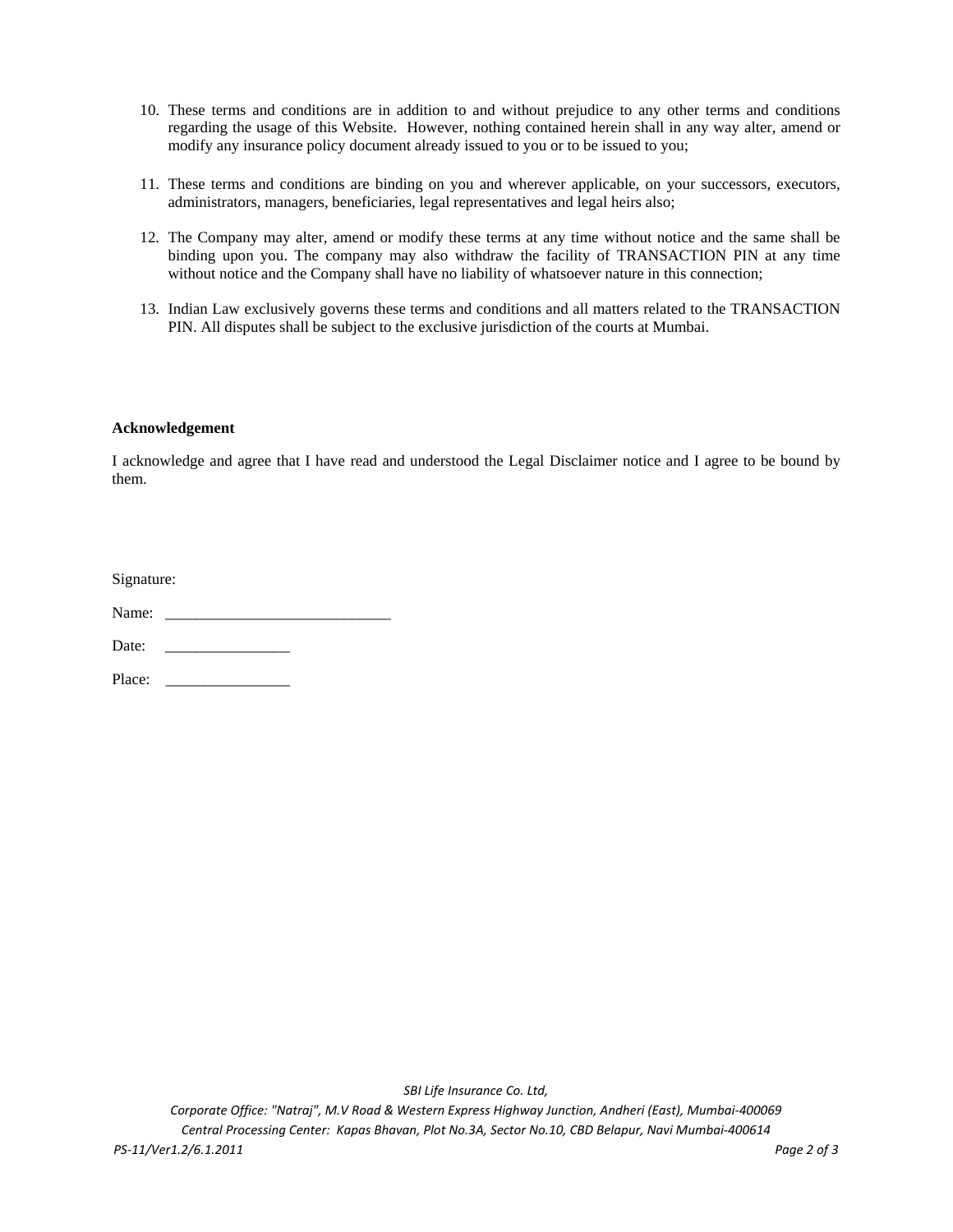- 10. These terms and conditions are in addition to and without prejudice to any other terms and conditions regarding the usage of this Website. However, nothing contained herein shall in any way alter, amend or modify any insurance policy document already issued to you or to be issued to you;
- 11. These terms and conditions are binding on you and wherever applicable, on your successors, executors, administrators, managers, beneficiaries, legal representatives and legal heirs also;
- 12. The Company may alter, amend or modify these terms at any time without notice and the same shall be binding upon you. The company may also withdraw the facility of TRANSACTION PIN at any time without notice and the Company shall have no liability of whatsoever nature in this connection;
- 13. Indian Law exclusively governs these terms and conditions and all matters related to the TRANSACTION PIN. All disputes shall be subject to the exclusive jurisdiction of the courts at Mumbai.

## **Acknowledgement**

I acknowledge and agree that I have read and understood the Legal Disclaimer notice and I agree to be bound by them.

| Signature: |  |  |
|------------|--|--|
|            |  |  |

Name: \_\_\_\_\_\_\_\_\_\_\_\_\_\_\_\_\_\_\_\_\_\_\_\_\_\_\_\_\_

Date: \_\_\_\_\_\_\_\_\_\_\_\_\_\_\_\_

Place: \_\_\_\_\_\_\_\_\_\_\_\_\_\_\_\_